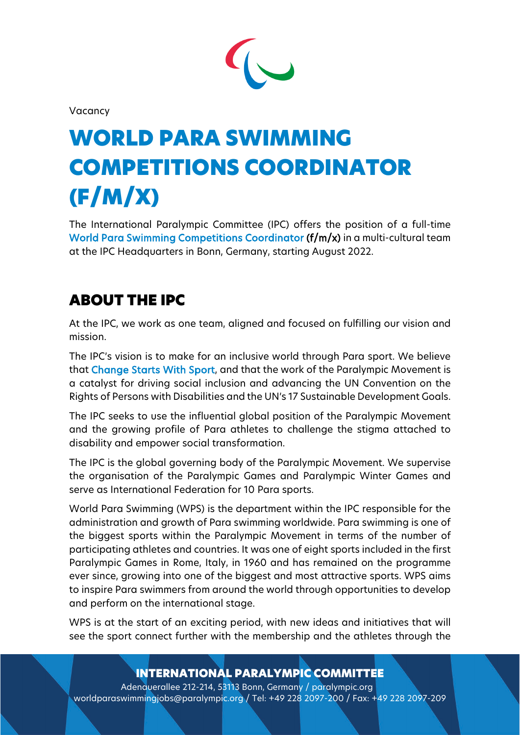

Vacancy

# WORLD PARA SWIMMING COMPETITIONS COORDINATOR (F/M/X)

The International Paralympic Committee (IPC) offers the position of a full-time World Para Swimming Competitions Coordinator (f/m/x) in a multi-cultural team at the IPC Headquarters in Bonn, Germany, starting August 2022.

# ABOUT THE IPC

At the IPC, we work as one team, aligned and focused on fulfilling our vision and mission.

The IPC's vision is to make for an inclusive world through Para sport. We believe that Change Starts With Sport, and that the work of the Paralympic Movement is a catalyst for driving social inclusion and advancing the UN Convention on the Rights of Persons with Disabilities and the UN's 17 Sustainable Development Goals.

The IPC seeks to use the influential global position of the Paralympic Movement and the growing profile of Para athletes to challenge the stigma attached to disability and empower social transformation.

The IPC is the global governing body of the Paralympic Movement. We supervise the organisation of the Paralympic Games and Paralympic Winter Games and serve as International Federation for 10 Para sports.

World Para Swimming (WPS) is the department within the IPC responsible for the administration and growth of Para swimming worldwide. Para swimming is one of the biggest sports within the Paralympic Movement in terms of the number of participating athletes and countries. It was one of eight sports included in the first Paralympic Games in Rome, Italy, in 1960 and has remained on the programme ever since, growing into one of the biggest and most attractive sports. WPS aims to inspire Para swimmers from around the world through opportunities to develop and perform on the international stage.

WPS is at the start of an exciting period, with new ideas and initiatives that will see the sport connect further with the membership and the athletes through the

## INTERNATIONAL PARALYMPIC COMMITTEE

Adenauerallee 212-214, 53113 Bonn, Germany / paralympic.org worldparaswimmingjobs@paralympic.org / Tel: +49 228 2097-200 / Fax: +49 228 2097-209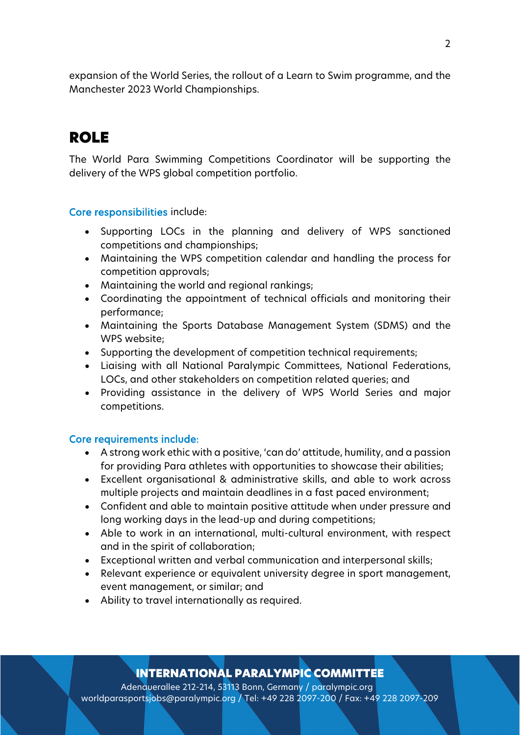expansion of the World Series, the rollout of a Learn to Swim programme, and the Manchester 2023 World Championships.

## ROLE

The World Para Swimming Competitions Coordinator will be supporting the delivery of the WPS global competition portfolio.

#### Core responsibilities include:

- Supporting LOCs in the planning and delivery of WPS sanctioned competitions and championships;
- Maintaining the WPS competition calendar and handling the process for competition approvals;
- Maintaining the world and regional rankings;
- Coordinating the appointment of technical officials and monitoring their performance;
- Maintaining the Sports Database Management System (SDMS) and the WPS website;
- Supporting the development of competition technical requirements;
- Liaising with all National Paralympic Committees, National Federations, LOCs, and other stakeholders on competition related queries; and
- Providing assistance in the delivery of WPS World Series and major competitions.

#### Core requirements include:

- A strong work ethic with a positive, 'can do' attitude, humility, and a passion for providing Para athletes with opportunities to showcase their abilities;
- Excellent organisational & administrative skills, and able to work across multiple projects and maintain deadlines in a fast paced environment;
- Confident and able to maintain positive attitude when under pressure and long working days in the lead-up and during competitions;
- Able to work in an international, multi-cultural environment, with respect and in the spirit of collaboration;
- Exceptional written and verbal communication and interpersonal skills;
- Relevant experience or equivalent university degree in sport management, event management, or similar; and
- Ability to travel internationally as required.

## INTERNATIONAL PARALYMPIC COMMITTEE

Adenauerallee 212-214, 53113 Bonn, Germany / paralympic.org worldparasportsjobs@paralympic.org / Tel: +49 228 2097-200 / Fax: +49 228 2097-209